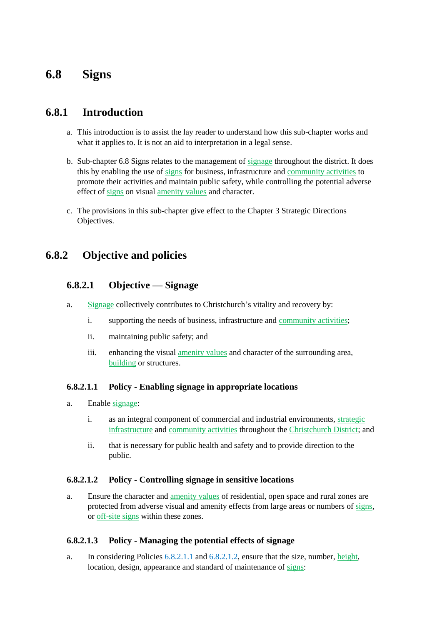# **6.8 Signs**

# **6.8.1 Introduction**

- a. This introduction is to assist the lay reader to understand how this sub-chapter works and what it applies to. It is not an aid to interpretation in a legal sense.
- b. Sub-chapter 6.8 Signs relates to the management of signage throughout the district. It does this by enabling the use of signs for business, infrastructure and community activities to promote their activities and maintain public safety, while controlling the potential adverse effect of signs on visual amenity values and character.
- c. The provisions in this sub-chapter give effect to the Chapter 3 Strategic Directions Objectives.

# **6.8.2 Objective and policies**

# **6.8.2.1 Objective — Signage**

- a. Signage collectively contributes to Christchurch's vitality and recovery by:
	- i. supporting the needs of business, infrastructure and community activities;
	- ii. maintaining public safety; and
	- iii. enhancing the visual amenity values and character of the surrounding area, building or structures.

### **6.8.2.1.1 Policy - Enabling signage in appropriate locations**

- a. Enable signage:
	- i. as an integral component of commercial and industrial environments, strategic infrastructure and community activities throughout the Christchurch District; and
	- ii. that is necessary for public health and safety and to provide direction to the public.

### **6.8.2.1.2 Policy - Controlling signage in sensitive locations**

a. Ensure the character and amenity values of residential, open space and rural zones are protected from adverse visual and amenity effects from large areas or numbers of signs, or off-site signs within these zones.

### **6.8.2.1.3 Policy - Managing the potential effects of signage**

a. In considering Policies 6.8.2.1.1 and 6.8.2.1.2, ensure that the size, number, height, location, design, appearance and standard of maintenance of signs: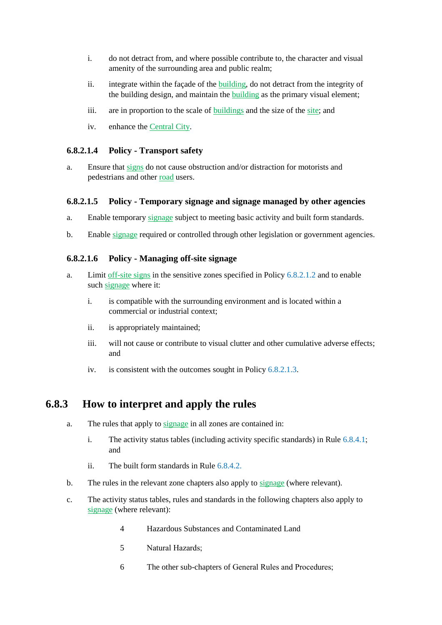- i. do not detract from, and where possible contribute to, the character and visual amenity of the surrounding area and public realm;
- ii. integrate within the façade of the building, do not detract from the integrity of the building design, and maintain the building as the primary visual element;
- iii. are in proportion to the scale of buildings and the size of the site; and
- iv. enhance the Central City.

### **6.8.2.1.4 Policy - Transport safety**

a. Ensure that signs do not cause obstruction and/or distraction for motorists and pedestrians and other road users.

### **6.8.2.1.5 Policy - Temporary signage and signage managed by other agencies**

- a. Enable temporary signage subject to meeting basic activity and built form standards.
- b. Enable signage required or controlled through other legislation or government agencies.

#### **6.8.2.1.6 Policy - Managing off-site signage**

- a. Limit off-site signs in the sensitive zones specified in Policy 6.8.2.1.2 and to enable such signage where it:
	- i. is compatible with the surrounding environment and is located within a commercial or industrial context;
	- ii. is appropriately maintained;
	- iii. will not cause or contribute to visual clutter and other cumulative adverse effects; and
	- iv. is consistent with the outcomes sought in Policy 6.8.2.1.3.

# **6.8.3 How to interpret and apply the rules**

- a. The rules that apply to signage in all zones are contained in:
	- i. The activity status tables (including activity specific standards) in Rule 6.8.4.1; and
	- ii. The built form standards in Rule 6.8.4.2.
- b. The rules in the relevant zone chapters also apply to signage (where relevant).
- c. The activity status tables, rules and standards in the following chapters also apply to signage (where relevant):
	- 4 Hazardous Substances and Contaminated Land
	- 5 Natural Hazards;
	- 6 The other sub-chapters of General Rules and Procedures;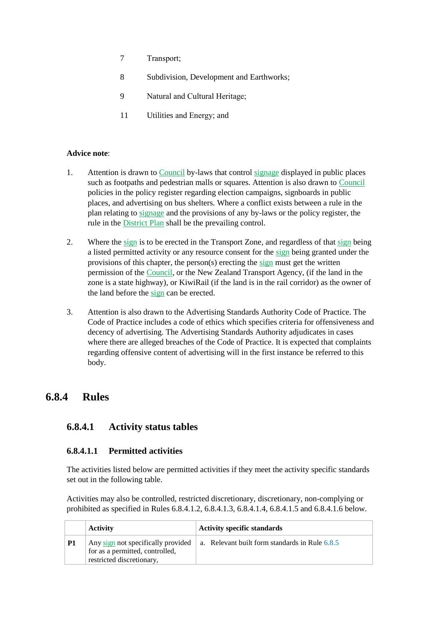- 7 Transport;
- 8 Subdivision, Development and Earthworks;
- 9 Natural and Cultural Heritage;
- 11 Utilities and Energy; and

### **Advice note**:

- 1. Attention is drawn to Council by-laws that control signage displayed in public places such as footpaths and pedestrian malls or squares. Attention is also drawn to Council policies in the policy register regarding election campaigns, signboards in public places, and advertising on bus shelters. Where a conflict exists between a rule in the plan relating to signage and the provisions of any by-laws or the policy register, the rule in the District Plan shall be the prevailing control.
- 2. Where the sign is to be erected in the Transport Zone, and regardless of that sign being a listed permitted activity or any resource consent for the sign being granted under the provisions of this chapter, the person(s) erecting the sign must get the written permission of the Council, or the New Zealand Transport Agency, (if the land in the zone is a state highway), or KiwiRail (if the land is in the rail corridor) as the owner of the land before the sign can be erected.
- 3. Attention is also drawn to the Advertising Standards Authority Code of Practice. The Code of Practice includes a code of ethics which specifies criteria for offensiveness and decency of advertising. The Advertising Standards Authority adjudicates in cases where there are alleged breaches of the Code of Practice. It is expected that complaints regarding offensive content of advertising will in the first instance be referred to this body.

# **6.8.4 Rules**

## **6.8.4.1 Activity status tables**

### **6.8.4.1.1 Permitted activities**

The activities listed below are permitted activities if they meet the activity specific standards set out in the following table.

Activities may also be controlled, restricted discretionary, discretionary, non-complying or prohibited as specified in Rules 6.8.4.1.2, 6.8.4.1.3, 6.8.4.1.4, 6.8.4.1.5 and 6.8.4.1.6 below.

|           | <b>Activity</b>                                                                                    | <b>Activity specific standards</b>             |  |
|-----------|----------------------------------------------------------------------------------------------------|------------------------------------------------|--|
| <b>P1</b> | Any sign not specifically provided<br>for as a permitted, controlled,<br>restricted discretionary, | a. Relevant built form standards in Rule 6.8.5 |  |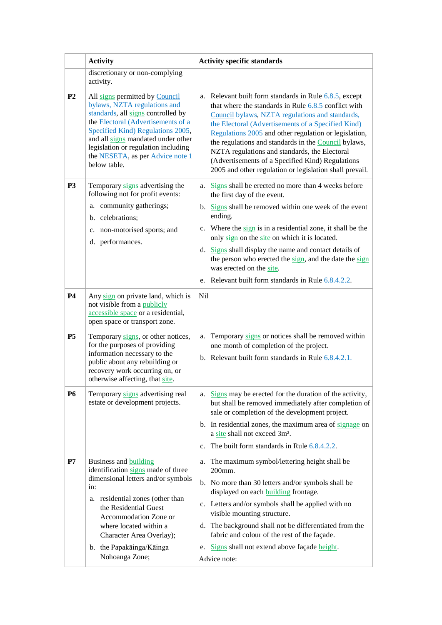|                | <b>Activity</b>                                                                                                                                                                                                                                                                                                  | <b>Activity specific standards</b>                                                                                                                                                                                                                                                                                                                                                                                                                                                                         |  |  |
|----------------|------------------------------------------------------------------------------------------------------------------------------------------------------------------------------------------------------------------------------------------------------------------------------------------------------------------|------------------------------------------------------------------------------------------------------------------------------------------------------------------------------------------------------------------------------------------------------------------------------------------------------------------------------------------------------------------------------------------------------------------------------------------------------------------------------------------------------------|--|--|
|                | discretionary or non-complying<br>activity.                                                                                                                                                                                                                                                                      |                                                                                                                                                                                                                                                                                                                                                                                                                                                                                                            |  |  |
| P <sub>2</sub> | All signs permitted by Council<br>bylaws, NZTA regulations and<br>standards, all signs controlled by<br>the Electoral (Advertisements of a<br>Specified Kind) Regulations 2005,<br>and all signs mandated under other<br>legislation or regulation including<br>the NESETA, as per Advice note 1<br>below table. | a. Relevant built form standards in Rule 6.8.5, except<br>that where the standards in Rule $6.8.5$ conflict with<br>Council bylaws, NZTA regulations and standards,<br>the Electoral (Advertisements of a Specified Kind)<br>Regulations 2005 and other regulation or legislation,<br>the regulations and standards in the Council bylaws,<br>NZTA regulations and standards, the Electoral<br>(Advertisements of a Specified Kind) Regulations<br>2005 and other regulation or legislation shall prevail. |  |  |
| P <sub>3</sub> | Temporary signs advertising the<br>following not for profit events:                                                                                                                                                                                                                                              | a. Signs shall be erected no more than 4 weeks before<br>the first day of the event.                                                                                                                                                                                                                                                                                                                                                                                                                       |  |  |
|                | a. community gatherings;<br>b. celebrations;                                                                                                                                                                                                                                                                     | b. Signs shall be removed within one week of the event<br>ending.                                                                                                                                                                                                                                                                                                                                                                                                                                          |  |  |
|                | c. non-motorised sports; and<br>d. performances.                                                                                                                                                                                                                                                                 | c. Where the sign is in a residential zone, it shall be the<br>only sign on the site on which it is located.                                                                                                                                                                                                                                                                                                                                                                                               |  |  |
|                |                                                                                                                                                                                                                                                                                                                  | d. Signs shall display the name and contact details of<br>the person who erected the sign, and the date the sign<br>was erected on the site.                                                                                                                                                                                                                                                                                                                                                               |  |  |
|                |                                                                                                                                                                                                                                                                                                                  | e. Relevant built form standards in Rule 6.8.4.2.2.                                                                                                                                                                                                                                                                                                                                                                                                                                                        |  |  |
| <b>P4</b>      | Any sign on private land, which is<br>not visible from a publicly<br>accessible space or a residential,<br>open space or transport zone.                                                                                                                                                                         | Nil                                                                                                                                                                                                                                                                                                                                                                                                                                                                                                        |  |  |
| <b>P5</b>      | Temporary signs, or other notices,<br>for the purposes of providing<br>information necessary to the<br>public about any rebuilding or<br>recovery work occurring on, or<br>otherwise affecting, that site.                                                                                                       | Temporary signs or notices shall be removed within<br>a.<br>one month of completion of the project.<br>b. Relevant built form standards in Rule 6.8.4.2.1.                                                                                                                                                                                                                                                                                                                                                 |  |  |
| <b>P6</b>      | Temporary signs advertising real<br>estate or development projects.                                                                                                                                                                                                                                              | Signs may be erected for the duration of the activity,<br>а.<br>but shall be removed immediately after completion of<br>sale or completion of the development project.                                                                                                                                                                                                                                                                                                                                     |  |  |
|                |                                                                                                                                                                                                                                                                                                                  | b. In residential zones, the maximum area of signage on<br>a site shall not exceed 3m <sup>2</sup> .                                                                                                                                                                                                                                                                                                                                                                                                       |  |  |
|                |                                                                                                                                                                                                                                                                                                                  | The built form standards in Rule 6.8.4.2.2.<br>$\mathbf{c}$ .                                                                                                                                                                                                                                                                                                                                                                                                                                              |  |  |
| P7             | Business and building<br>identification signs made of three                                                                                                                                                                                                                                                      | a. The maximum symbol/lettering height shall be<br>200mm.                                                                                                                                                                                                                                                                                                                                                                                                                                                  |  |  |
|                | dimensional letters and/or symbols<br>in:<br>a. residential zones (other than<br>the Residential Guest<br>Accommodation Zone or<br>where located within a<br>Character Area Overlay);                                                                                                                            | b. No more than 30 letters and/or symbols shall be<br>displayed on each <b>building</b> frontage.                                                                                                                                                                                                                                                                                                                                                                                                          |  |  |
|                |                                                                                                                                                                                                                                                                                                                  | c. Letters and/or symbols shall be applied with no<br>visible mounting structure.                                                                                                                                                                                                                                                                                                                                                                                                                          |  |  |
|                |                                                                                                                                                                                                                                                                                                                  | d. The background shall not be differentiated from the<br>fabric and colour of the rest of the façade.                                                                                                                                                                                                                                                                                                                                                                                                     |  |  |
|                | b. the Papakāinga/Kāinga<br>Nohoanga Zone;                                                                                                                                                                                                                                                                       | e. Signs shall not extend above façade height.<br>Advice note:                                                                                                                                                                                                                                                                                                                                                                                                                                             |  |  |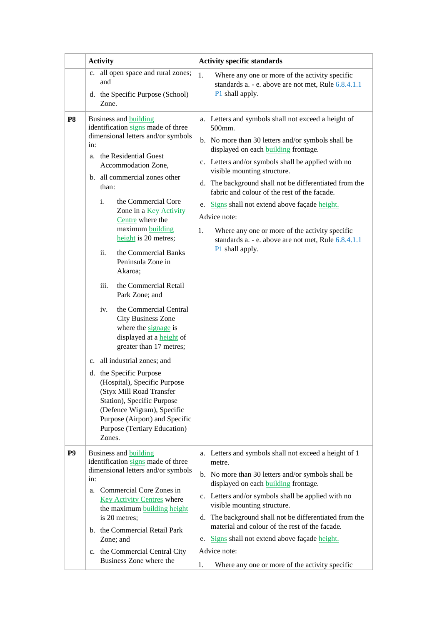|                | <b>Activity</b>                                                                                                                                                                                                                                                                                                                                                                                                                                                                                                                                                                                                                                                                                                                                                                                                                                                   | <b>Activity specific standards</b>                                                                                                                                                                                                                                                                                                                                                                                                                                                                                                                                       |  |  |  |
|----------------|-------------------------------------------------------------------------------------------------------------------------------------------------------------------------------------------------------------------------------------------------------------------------------------------------------------------------------------------------------------------------------------------------------------------------------------------------------------------------------------------------------------------------------------------------------------------------------------------------------------------------------------------------------------------------------------------------------------------------------------------------------------------------------------------------------------------------------------------------------------------|--------------------------------------------------------------------------------------------------------------------------------------------------------------------------------------------------------------------------------------------------------------------------------------------------------------------------------------------------------------------------------------------------------------------------------------------------------------------------------------------------------------------------------------------------------------------------|--|--|--|
|                | all open space and rural zones;<br>c.<br>and<br>d. the Specific Purpose (School)<br>Zone.                                                                                                                                                                                                                                                                                                                                                                                                                                                                                                                                                                                                                                                                                                                                                                         | 1.<br>Where any one or more of the activity specific<br>standards a. - e. above are not met, Rule 6.8.4.1.1<br>P1 shall apply.                                                                                                                                                                                                                                                                                                                                                                                                                                           |  |  |  |
| P <sub>8</sub> | Business and building<br>identification signs made of three<br>dimensional letters and/or symbols<br>in:<br>a. the Residential Guest<br>Accommodation Zone,<br>b. all commercial zones other<br>than:<br>i.<br>the Commercial Core<br>Zone in a Key Activity<br>Centre where the<br>maximum building<br>height is 20 metres;<br>ii.<br>the Commercial Banks<br>Peninsula Zone in<br>Akaroa;<br>iii.<br>the Commercial Retail<br>Park Zone; and<br>the Commercial Central<br>iv.<br><b>City Business Zone</b><br>where the signage is<br>displayed at a <b>height</b> of<br>greater than 17 metres;<br>c. all industrial zones; and<br>d. the Specific Purpose<br>(Hospital), Specific Purpose<br>(Styx Mill Road Transfer<br>Station), Specific Purpose<br>(Defence Wigram), Specific<br>Purpose (Airport) and Specific<br>Purpose (Tertiary Education)<br>Zones. | a. Letters and symbols shall not exceed a height of<br>500mm.<br>b. No more than 30 letters and/or symbols shall be<br>displayed on each <b>building</b> frontage.<br>c. Letters and/or symbols shall be applied with no<br>visible mounting structure.<br>d. The background shall not be differentiated from the<br>fabric and colour of the rest of the facade.<br>Signs shall not extend above façade height.<br>e.<br>Advice note:<br>1.<br>Where any one or more of the activity specific<br>standards a. - e. above are not met, Rule 6.8.4.1.1<br>P1 shall apply. |  |  |  |
| P <sub>9</sub> | Business and building<br>identification signs made of three<br>dimensional letters and/or symbols<br>in:<br>Commercial Core Zones in<br>a.<br><b>Key Activity Centres where</b><br>the maximum <b>building</b> height<br>is 20 metres;<br>b. the Commercial Retail Park<br>Zone; and                                                                                                                                                                                                                                                                                                                                                                                                                                                                                                                                                                              | a. Letters and symbols shall not exceed a height of 1<br>metre.<br>b. No more than 30 letters and/or symbols shall be<br>displayed on each <b>building</b> frontage.<br>c. Letters and/or symbols shall be applied with no<br>visible mounting structure.<br>The background shall not be differentiated from the<br>d.<br>material and colour of the rest of the facade.<br>Signs shall not extend above façade height.<br>e.                                                                                                                                            |  |  |  |
|                | c. the Commercial Central City<br>Business Zone where the                                                                                                                                                                                                                                                                                                                                                                                                                                                                                                                                                                                                                                                                                                                                                                                                         | Advice note:<br>Where any one or more of the activity specific<br>1.                                                                                                                                                                                                                                                                                                                                                                                                                                                                                                     |  |  |  |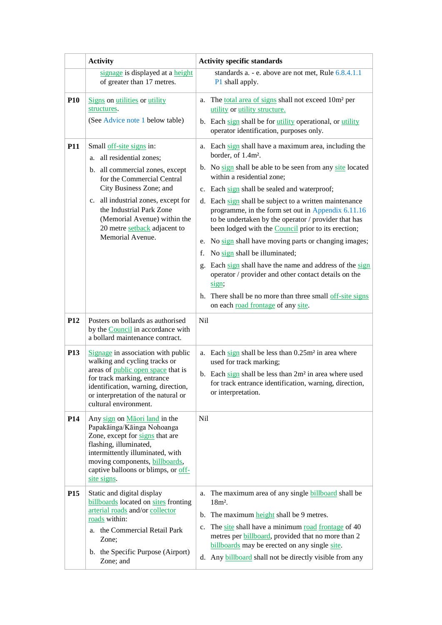|                 | <b>Activity</b>                                                                                                                                                                                                                                              | <b>Activity specific standards</b>                                                                                                                                                                                          |  |
|-----------------|--------------------------------------------------------------------------------------------------------------------------------------------------------------------------------------------------------------------------------------------------------------|-----------------------------------------------------------------------------------------------------------------------------------------------------------------------------------------------------------------------------|--|
|                 | signage is displayed at a height<br>of greater than 17 metres.                                                                                                                                                                                               | standards a. - e. above are not met, Rule 6.8.4.1.1<br>P1 shall apply.                                                                                                                                                      |  |
| <b>P10</b>      | Signs on utilities or utility<br>structures.                                                                                                                                                                                                                 | a. The total area of signs shall not exceed 10m <sup>2</sup> per<br>utility or utility structure.                                                                                                                           |  |
|                 | (See Advice note 1 below table)                                                                                                                                                                                                                              | b. Each sign shall be for <i>utility</i> operational, or <i>utility</i><br>operator identification, purposes only.                                                                                                          |  |
| <b>P11</b>      | Small off-site signs in:<br>a. all residential zones;                                                                                                                                                                                                        | a. Each sign shall have a maximum area, including the<br>border, of 1.4m <sup>2</sup> .                                                                                                                                     |  |
|                 | b. all commercial zones, except<br>for the Commercial Central                                                                                                                                                                                                | b. No sign shall be able to be seen from any site located<br>within a residential zone;                                                                                                                                     |  |
|                 | City Business Zone; and                                                                                                                                                                                                                                      | c. Each sign shall be sealed and waterproof;                                                                                                                                                                                |  |
|                 | c. all industrial zones, except for<br>the Industrial Park Zone<br>(Memorial Avenue) within the<br>20 metre setback adjacent to                                                                                                                              | d. Each sign shall be subject to a written maintenance<br>programme, in the form set out in Appendix 6.11.16<br>to be undertaken by the operator / provider that has<br>been lodged with the Council prior to its erection; |  |
|                 | Memorial Avenue.                                                                                                                                                                                                                                             | e. No sign shall have moving parts or changing images;                                                                                                                                                                      |  |
|                 |                                                                                                                                                                                                                                                              | No sign shall be illuminated;<br>f.                                                                                                                                                                                         |  |
|                 |                                                                                                                                                                                                                                                              | Each sign shall have the name and address of the sign<br>g.<br>operator / provider and other contact details on the<br>sign;                                                                                                |  |
|                 |                                                                                                                                                                                                                                                              | h. There shall be no more than three small off-site signs<br>on each road frontage of any site.                                                                                                                             |  |
| <b>P12</b>      | Posters on bollards as authorised<br>by the <b>Council</b> in accordance with<br>a bollard maintenance contract.                                                                                                                                             | <b>Nil</b>                                                                                                                                                                                                                  |  |
| P <sub>13</sub> | Signage in association with public<br>walking and cycling tracks or<br>areas of public open space that is                                                                                                                                                    | a. Each $\frac{\text{sign}}{\text{sign}}$ shall be less than $0.25 \text{m}^2$ in area where<br>used for track marking;                                                                                                     |  |
|                 | for track marking, entrance<br>identification, warning, direction,<br>or interpretation of the natural or<br>cultural environment.                                                                                                                           | b. Each sign shall be less than 2m <sup>2</sup> in area where used<br>for track entrance identification, warning, direction,<br>or interpretation.                                                                          |  |
| P <sub>14</sub> | Any sign on Maori land in the<br>Papakāinga/Kāinga Nohoanga<br>Zone, except for signs that are<br>flashing, illuminated,<br>intermittently illuminated, with<br>moving components, <b>billboards</b> ,<br>captive balloons or blimps, or off-<br>site signs. | <b>Nil</b>                                                                                                                                                                                                                  |  |
| P <sub>15</sub> | Static and digital display<br>billboards located on sites fronting<br>arterial roads and/or collector<br>roads within:                                                                                                                                       | The maximum area of any single <b>billboard</b> shall be<br>a.<br>$18m^2$ .<br>The maximum height shall be 9 metres.<br>b.                                                                                                  |  |
|                 | a. the Commercial Retail Park<br>Zone;                                                                                                                                                                                                                       | The site shall have a minimum road frontage of 40<br>c.<br>metres per <b>billboard</b> , provided that no more than 2<br>billboards may be erected on any single site.                                                      |  |
|                 | b. the Specific Purpose (Airport)<br>Zone; and                                                                                                                                                                                                               | d. Any billboard shall not be directly visible from any                                                                                                                                                                     |  |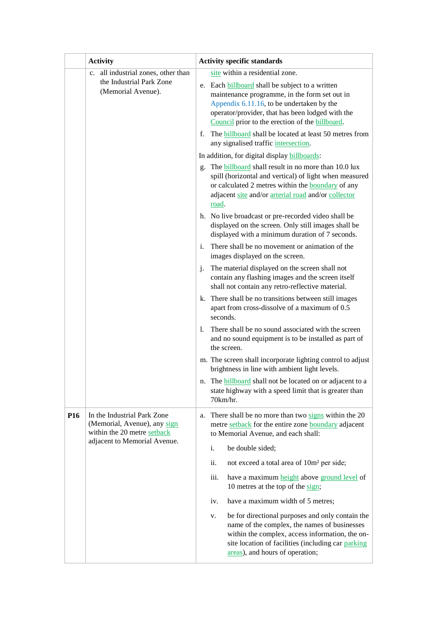|                                                                                       | <b>Activity</b>                                                                            | <b>Activity specific standards</b>                                                                                                                                                                                                                                                             |  |
|---------------------------------------------------------------------------------------|--------------------------------------------------------------------------------------------|------------------------------------------------------------------------------------------------------------------------------------------------------------------------------------------------------------------------------------------------------------------------------------------------|--|
| c. all industrial zones, other than<br>the Industrial Park Zone<br>(Memorial Avenue). |                                                                                            | site within a residential zone.<br>e. Each <b>billboard</b> shall be subject to a written<br>maintenance programme, in the form set out in<br>Appendix 6.11.16, to be undertaken by the<br>operator/provider, that has been lodged with the<br>Council prior to the erection of the billboard. |  |
|                                                                                       |                                                                                            | The <b>billboard</b> shall be located at least 50 metres from<br>f.<br>any signalised traffic intersection.                                                                                                                                                                                    |  |
|                                                                                       |                                                                                            | In addition, for digital display billboards:                                                                                                                                                                                                                                                   |  |
|                                                                                       |                                                                                            | The <b>billboard</b> shall result in no more than 10.0 lux<br>g.<br>spill (horizontal and vertical) of light when measured<br>or calculated 2 metres within the <b>boundary</b> of any<br>adjacent site and/or arterial road and/or collector<br>road.                                         |  |
|                                                                                       |                                                                                            | h. No live broadcast or pre-recorded video shall be<br>displayed on the screen. Only still images shall be<br>displayed with a minimum duration of 7 seconds.                                                                                                                                  |  |
|                                                                                       |                                                                                            | There shall be no movement or animation of the<br>i.<br>images displayed on the screen.                                                                                                                                                                                                        |  |
|                                                                                       |                                                                                            | The material displayed on the screen shall not<br>j.<br>contain any flashing images and the screen itself<br>shall not contain any retro-reflective material.                                                                                                                                  |  |
|                                                                                       |                                                                                            | k. There shall be no transitions between still images<br>apart from cross-dissolve of a maximum of 0.5<br>seconds.                                                                                                                                                                             |  |
|                                                                                       |                                                                                            | There shall be no sound associated with the screen<br>1.<br>and no sound equipment is to be installed as part of<br>the screen.                                                                                                                                                                |  |
|                                                                                       |                                                                                            | m. The screen shall incorporate lighting control to adjust<br>brightness in line with ambient light levels.                                                                                                                                                                                    |  |
|                                                                                       |                                                                                            | n. The <b>billboard</b> shall not be located on or adjacent to a<br>state highway with a speed limit that is greater than<br>70km/hr.                                                                                                                                                          |  |
| <b>P16</b>                                                                            | In the Industrial Park Zone<br>(Memorial, Avenue), any sign<br>within the 20 metre setback | There shall be no more than two signs within the 20<br>a.<br>metre setback for the entire zone boundary adjacent<br>to Memorial Avenue, and each shall:                                                                                                                                        |  |
|                                                                                       | adjacent to Memorial Avenue.                                                               | i.<br>be double sided;                                                                                                                                                                                                                                                                         |  |
|                                                                                       |                                                                                            | ii.<br>not exceed a total area of 10m <sup>2</sup> per side;                                                                                                                                                                                                                                   |  |
|                                                                                       |                                                                                            | iii.<br>have a maximum height above ground level of<br>10 metres at the top of the sign;                                                                                                                                                                                                       |  |
|                                                                                       |                                                                                            | have a maximum width of 5 metres;<br>iv.                                                                                                                                                                                                                                                       |  |
|                                                                                       |                                                                                            | be for directional purposes and only contain the<br>v.<br>name of the complex, the names of businesses<br>within the complex, access information, the on-<br>site location of facilities (including car parking<br>areas), and hours of operation;                                             |  |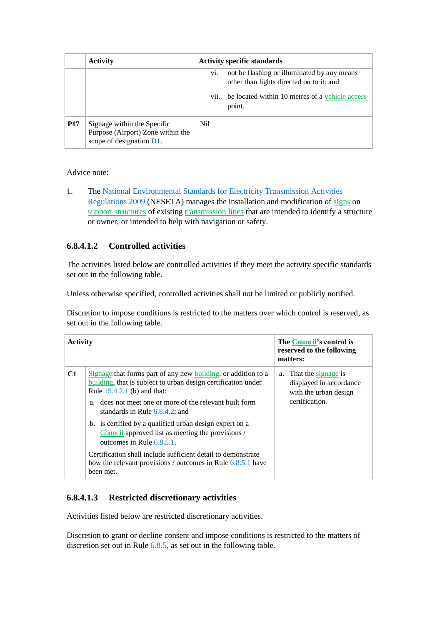|            | <b>Activity</b>                                                                                 |             | <b>Activity specific standards</b>                                                                                                                   |
|------------|-------------------------------------------------------------------------------------------------|-------------|------------------------------------------------------------------------------------------------------------------------------------------------------|
|            |                                                                                                 | V1.<br>vii. | not be flashing or illuminated by any means<br>other than lights directed on to it; and<br>be located within 10 metres of a vehicle access<br>point. |
| <b>P17</b> | Signage within the Specific<br>Purpose (Airport) Zone within the<br>scope of designation $D1$ . | Nil         |                                                                                                                                                      |

Advice note:

1. The National Environmental Standards for Electricity Transmission Activities Regulations 2009 (NESETA) manages the installation and modification of signs on support structures of existing transmission lines that are intended to identify a structure or owner, or intended to help with navigation or safety.

## **6.8.4.1.2 Controlled activities**

The activities listed below are controlled activities if they meet the activity specific standards set out in the following table.

Unless otherwise specified, controlled activities shall not be limited or publicly notified.

Discretion to impose conditions is restricted to the matters over which control is reserved, as set out in the following table.

| <b>Activity</b> |                                                                                                                                                                                                                                                                  | The Council's control is<br>reserved to the following<br>matters:                            |
|-----------------|------------------------------------------------------------------------------------------------------------------------------------------------------------------------------------------------------------------------------------------------------------------|----------------------------------------------------------------------------------------------|
| C1              | Signage that forms part of any new building, or addition to a<br>building, that is subject to urban design certification under<br>Rule 15.4.2.1 (b) and that:<br>does not meet one or more of the relevant built form<br>a.<br>standards in Rule $6.8.4.2$ ; and | a. That the signage is<br>displayed in accordance<br>with the urban design<br>certification. |
|                 | b. is certified by a qualified urban design expert on a<br>Council approved list as meeting the provisions /<br>outcomes in Rule 6.8.5.1.                                                                                                                        |                                                                                              |
|                 | Certification shall include sufficient detail to demonstrate<br>how the relevant provisions / outcomes in Rule 6.8.5.1 have<br>been met.                                                                                                                         |                                                                                              |

## **6.8.4.1.3 Restricted discretionary activities**

Activities listed below are restricted discretionary activities.

Discretion to grant or decline consent and impose conditions is restricted to the matters of discretion set out in Rule 6.8.5, as set out in the following table.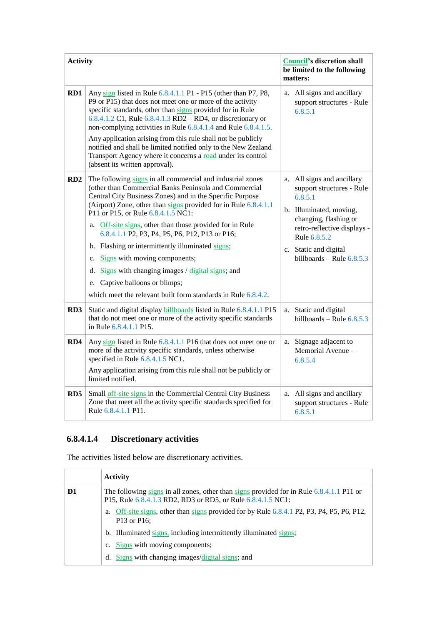| <b>Activity</b> |                                                                                                                                                                                                                                                                                                                                                                                                                                                                                                                                                                                                                                                                  | <b>Council's discretion shall</b><br>be limited to the following<br>matters: |                                                                                                                                                                                                                               |
|-----------------|------------------------------------------------------------------------------------------------------------------------------------------------------------------------------------------------------------------------------------------------------------------------------------------------------------------------------------------------------------------------------------------------------------------------------------------------------------------------------------------------------------------------------------------------------------------------------------------------------------------------------------------------------------------|------------------------------------------------------------------------------|-------------------------------------------------------------------------------------------------------------------------------------------------------------------------------------------------------------------------------|
| RD1             | Any sign listed in Rule 6.8.4.1.1 P1 - P15 (other than P7, P8,<br>P9 or P15) that does not meet one or more of the activity<br>specific standards, other than signs provided for in Rule<br>6.8.4.1.2 C1, Rule $6.8.4.1.3$ RD2 – RD4, or discretionary or<br>non-complying activities in Rule 6.8.4.1.4 and Rule 6.8.4.1.5.<br>Any application arising from this rule shall not be publicly<br>notified and shall be limited notified only to the New Zealand<br>Transport Agency where it concerns a road under its control<br>(absent its written approval).                                                                                                   |                                                                              | a. All signs and ancillary<br>support structures - Rule<br>6.8.5.1                                                                                                                                                            |
| RD2             | The following signs in all commercial and industrial zones<br>(other than Commercial Banks Peninsula and Commercial<br>Central City Business Zones) and in the Specific Purpose<br>(Airport) Zone, other than signs provided for in Rule 6.8.4.1.1<br>P11 or P15, or Rule 6.8.4.1.5 NC1:<br>a. Off-site signs, other than those provided for in Rule<br>6.8.4.1.1 P2, P3, P4, P5, P6, P12, P13 or P16;<br>b. Flashing or intermittently illuminated signs;<br>Signs with moving components;<br>c.<br>Signs with changing images / digital signs; and<br>d.<br>Captive balloons or blimps;<br>e.<br>which meet the relevant built form standards in Rule 6.8.4.2. |                                                                              | a. All signs and ancillary<br>support structures - Rule<br>6.8.5.1<br>b. Illuminated, moving,<br>changing, flashing or<br>retro-reflective displays -<br>Rule 6.8.5.2<br>c. Static and digital<br>billboards – Rule $6.8.5.3$ |
| RD3             | Static and digital display billboards listed in Rule 6.8.4.1.1 P15<br>that do not meet one or more of the activity specific standards<br>in Rule 6.8.4.1.1 P15.                                                                                                                                                                                                                                                                                                                                                                                                                                                                                                  |                                                                              | a. Static and digital<br>billboards – Rule $6.8.5.3$                                                                                                                                                                          |
| RD4             | Any sign listed in Rule 6.8.4.1.1 P16 that does not meet one or<br>more of the activity specific standards, unless otherwise<br>specified in Rule 6.8.4.1.5 NC1.<br>Any application arising from this rule shall not be publicly or<br>limited notified.                                                                                                                                                                                                                                                                                                                                                                                                         | a.                                                                           | Signage adjacent to<br>Memorial Avenue -<br>6.8.5.4                                                                                                                                                                           |
| RD5             | Small off-site signs in the Commercial Central City Business<br>Zone that meet all the activity specific standards specified for<br>Rule 6.8.4.1.1 P11.                                                                                                                                                                                                                                                                                                                                                                                                                                                                                                          | a.                                                                           | All signs and ancillary<br>support structures - Rule<br>6.8.5.1                                                                                                                                                               |

# **6.8.4.1.4 Discretionary activities**

The activities listed below are discretionary activities.

|    | <b>Activity</b>                                                                                                                                         |  |
|----|---------------------------------------------------------------------------------------------------------------------------------------------------------|--|
| D1 | The following signs in all zones, other than signs provided for in Rule 6.8.4.1.1 P11 or<br>P15, Rule 6.8.4.1.3 RD2, RD3 or RD5, or Rule 6.8.4.1.5 NC1: |  |
|    | Off-site signs, other than signs provided for by Rule 6.8.4.1 P2, P3, P4, P5, P6, P12,<br>a.<br>P13 or P16;                                             |  |
|    | b. Illuminated signs, including intermittently illuminated signs;                                                                                       |  |
|    | c. Signs with moving components;                                                                                                                        |  |
|    | d. Signs with changing images/digital signs; and                                                                                                        |  |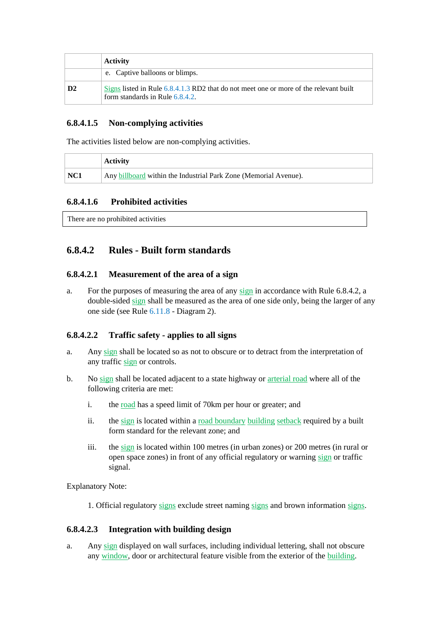|                | <b>Activity</b>                                                                                                               |
|----------------|-------------------------------------------------------------------------------------------------------------------------------|
|                | e. Captive balloons or blimps.                                                                                                |
| D <sub>2</sub> | Signs listed in Rule $6.8.4.1.3$ RD2 that do not meet one or more of the relevant built<br>form standards in Rule $6.8.4.2$ . |

### **6.8.4.1.5 Non-complying activities**

The activities listed below are non-complying activities.

|     | <b>Activity</b>                                                  |
|-----|------------------------------------------------------------------|
| NC1 | Any billboard within the Industrial Park Zone (Memorial Avenue). |

## **6.8.4.1.6 Prohibited activities**

There are no prohibited activities

# **6.8.4.2 Rules - Built form standards**

### **6.8.4.2.1 Measurement of the area of a sign**

a. For the purposes of measuring the area of any sign in accordance with Rule 6.8.4.2, a double-sided sign shall be measured as the area of one side only, being the larger of any one side (see Rule 6.11.8 - Diagram 2).

## **6.8.4.2.2 Traffic safety - applies to all signs**

- a. Any sign shall be located so as not to obscure or to detract from the interpretation of any traffic sign or controls.
- b. No sign shall be located adjacent to a state highway or arterial road where all of the following criteria are met:
	- i. the <u>road</u> has a speed limit of 70km per hour or greater; and
	- ii. the sign is located within a road boundary building setback required by a built form standard for the relevant zone; and
	- iii. the sign is located within 100 metres (in urban zones) or 200 metres (in rural or open space zones) in front of any official regulatory or warning sign or traffic signal.

Explanatory Note:

1. Official regulatory signs exclude street naming signs and brown information signs.

## **6.8.4.2.3 Integration with building design**

a. Any sign displayed on wall surfaces, including individual lettering, shall not obscure any window, door or architectural feature visible from the exterior of the building.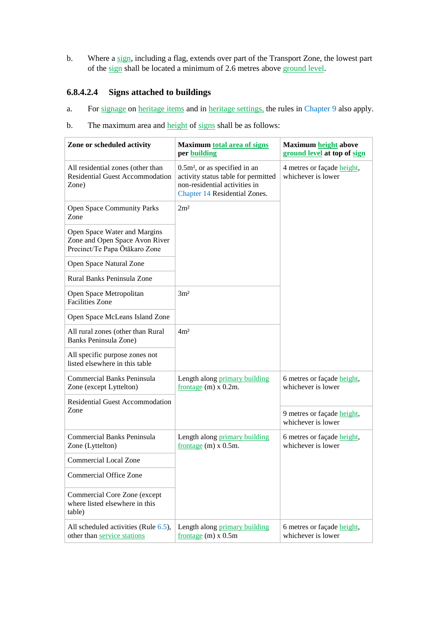b. Where a sign, including a flag, extends over part of the Transport Zone, the lowest part of the sign shall be located a minimum of 2.6 metres above ground level.

## **6.8.4.2.4 Signs attached to buildings**

- a. For signage on heritage items and in heritage settings, the rules in Chapter 9 also apply.
- b. The maximum area and height of signs shall be as follows:

| Zone or scheduled activity                                                                      | <b>Maximum total area of signs</b><br>per building                                                                                       | <b>Maximum height above</b><br>ground level at top of sign |  |
|-------------------------------------------------------------------------------------------------|------------------------------------------------------------------------------------------------------------------------------------------|------------------------------------------------------------|--|
| All residential zones (other than<br><b>Residential Guest Accommodation</b><br>Zone)            | $0.5m2$ , or as specified in an<br>activity status table for permitted<br>non-residential activities in<br>Chapter 14 Residential Zones. | 4 metres or façade height,<br>whichever is lower           |  |
| <b>Open Space Community Parks</b><br>Zone                                                       | 2m <sup>2</sup>                                                                                                                          |                                                            |  |
| Open Space Water and Margins<br>Zone and Open Space Avon River<br>Precinct/Te Papa Ōtākaro Zone |                                                                                                                                          |                                                            |  |
| Open Space Natural Zone                                                                         |                                                                                                                                          |                                                            |  |
| Rural Banks Peninsula Zone                                                                      |                                                                                                                                          |                                                            |  |
| Open Space Metropolitan<br><b>Facilities Zone</b>                                               | 3m <sup>2</sup>                                                                                                                          |                                                            |  |
| Open Space McLeans Island Zone                                                                  |                                                                                                                                          |                                                            |  |
| All rural zones (other than Rural<br>Banks Peninsula Zone)                                      | 4m <sup>2</sup>                                                                                                                          |                                                            |  |
| All specific purpose zones not<br>listed elsewhere in this table                                |                                                                                                                                          |                                                            |  |
| Commercial Banks Peninsula<br>Zone (except Lyttelton)                                           | Length along primary building<br>frontage $(m) \times 0.2m$ .                                                                            | 6 metres or façade height,<br>whichever is lower           |  |
| <b>Residential Guest Accommodation</b>                                                          |                                                                                                                                          |                                                            |  |
| Zone                                                                                            |                                                                                                                                          | 9 metres or façade height,<br>whichever is lower           |  |
| Commercial Banks Peninsula<br>Zone (Lyttelton)                                                  | Length along primary building<br>frontage $(m)$ x 0.5m.                                                                                  | 6 metres or façade height,<br>whichever is lower           |  |
| <b>Commercial Local Zone</b>                                                                    |                                                                                                                                          |                                                            |  |
| <b>Commercial Office Zone</b>                                                                   |                                                                                                                                          |                                                            |  |
| Commercial Core Zone (except<br>where listed elsewhere in this<br>table)                        |                                                                                                                                          |                                                            |  |
| All scheduled activities (Rule 6.5),<br>other than service stations                             | Length along primary building<br>frontage $(m)$ x 0.5m                                                                                   | 6 metres or façade height,<br>whichever is lower           |  |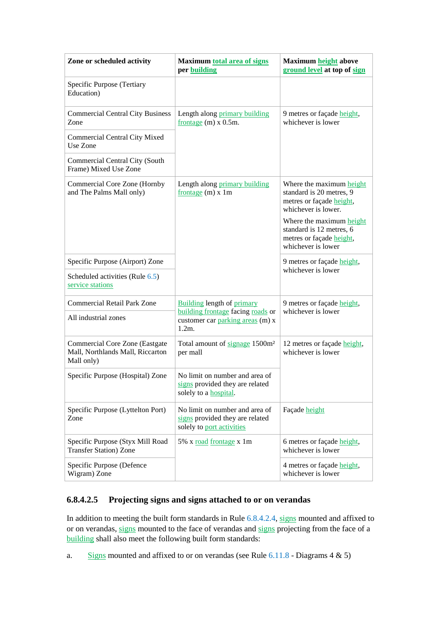| Zone or scheduled activity                                                              | <b>Maximum total area of signs</b><br>per building                                                 | Maximum height above<br>ground level at top of sign                                                     |  |
|-----------------------------------------------------------------------------------------|----------------------------------------------------------------------------------------------------|---------------------------------------------------------------------------------------------------------|--|
| Specific Purpose (Tertiary<br>Education)                                                |                                                                                                    |                                                                                                         |  |
| <b>Commercial Central City Business</b><br>Zone                                         | Length along primary building<br>frontage $(m)$ x 0.5m.                                            | 9 metres or façade height,<br>whichever is lower                                                        |  |
| Commercial Central City Mixed<br>Use Zone                                               |                                                                                                    |                                                                                                         |  |
| Commercial Central City (South<br>Frame) Mixed Use Zone                                 |                                                                                                    |                                                                                                         |  |
| Commercial Core Zone (Hornby<br>and The Palms Mall only)                                | Length along primary building<br>frontage $(m)$ x 1m                                               | Where the maximum height<br>standard is 20 metres, 9<br>metres or façade height,<br>whichever is lower. |  |
|                                                                                         |                                                                                                    | Where the maximum height<br>standard is 12 metres, 6<br>metres or façade height,<br>whichever is lower  |  |
| Specific Purpose (Airport) Zone                                                         |                                                                                                    | 9 metres or façade height,                                                                              |  |
| Scheduled activities (Rule 6.5)<br>service stations                                     |                                                                                                    | whichever is lower                                                                                      |  |
| <b>Commercial Retail Park Zone</b>                                                      | <b>Building length of primary</b>                                                                  | 9 metres or façade height,                                                                              |  |
| All industrial zones                                                                    | building frontage facing roads or<br>customer car parking areas (m) x<br>$1.2m$ .                  | whichever is lower                                                                                      |  |
| <b>Commercial Core Zone (Eastgate</b><br>Mall, Northlands Mall, Riccarton<br>Mall only) | Total amount of signage 1500m <sup>2</sup><br>per mall                                             | 12 metres or façade height,<br>whichever is lower                                                       |  |
| Specific Purpose (Hospital) Zone                                                        | No limit on number and area of<br>signs provided they are related<br>solely to a <b>hospital</b> . |                                                                                                         |  |
| Specific Purpose (Lyttelton Port)<br>Zone                                               | No limit on number and area of<br>signs provided they are related<br>solely to port activities     | Façade height                                                                                           |  |
| Specific Purpose (Styx Mill Road<br><b>Transfer Station</b> ) Zone                      | 5% x road frontage x 1m                                                                            | 6 metres or façade height,<br>whichever is lower                                                        |  |
| Specific Purpose (Defence<br>Wigram) Zone                                               |                                                                                                    | 4 metres or façade height,<br>whichever is lower                                                        |  |

## **6.8.4.2.5 Projecting signs and signs attached to or on verandas**

In addition to meeting the built form standards in Rule 6.8.4.2.4, signs mounted and affixed to or on verandas, signs mounted to the face of verandas and signs projecting from the face of a building shall also meet the following built form standards:

a. Signs mounted and affixed to or on verandas (see Rule  $6.11.8$  - Diagrams  $4 \& 5$ )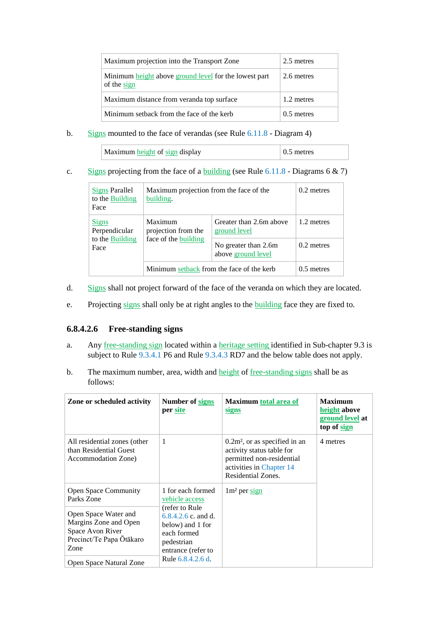| Maximum projection into the Transport Zone                           | 2.5 metres   |
|----------------------------------------------------------------------|--------------|
| Minimum height above ground level for the lowest part<br>of the sign | 2.6 metres   |
| Maximum distance from veranda top surface                            | 1.2 metres   |
| Minimum setback from the face of the kerb                            | $0.5$ metres |

b. Signs mounted to the face of verandas (see Rule 6.11.8 - Diagram 4)

| Maximum height of sign display | metres |
|--------------------------------|--------|
|--------------------------------|--------|

c. Signs projecting from the face of a building (see Rule  $6.11.8$  - Diagrams 6 & 7)

| Signs Parallel<br>to the Building<br>Face                | Maximum projection from the face of the<br>building.   | $0.2$ metres                               |              |
|----------------------------------------------------------|--------------------------------------------------------|--------------------------------------------|--------------|
| <b>Signs</b><br>Perpendicular<br>to the Building<br>Face | Maximum<br>projection from the<br>face of the building | Greater than 2.6m above<br>ground level    | 1.2 metres   |
|                                                          |                                                        | No greater than 2.6m<br>above ground level | $0.2$ metres |
|                                                          | Minimum setback from the face of the kerb              | $0.5$ metres                               |              |

- d. Signs shall not project forward of the face of the veranda on which they are located.
- e. Projecting signs shall only be at right angles to the building face they are fixed to.

## **6.8.4.2.6 Free-standing signs**

- a. Any free-standing sign located within a heritage setting identified in Sub-chapter 9.3 is subject to Rule 9.3.4.1 P6 and Rule 9.3.4.3 RD7 and the below table does not apply.
- b. The maximum number, area, width and height of free-standing signs shall be as follows:

| Zone or scheduled activity                                                                                                                         | Number of signs<br>per site                                                                                                                            | <b>Maximum total area of</b><br><u>signs</u>                                                                                                | <b>Maximum</b><br>height above<br><u>ground level</u> at<br>top of sign |
|----------------------------------------------------------------------------------------------------------------------------------------------------|--------------------------------------------------------------------------------------------------------------------------------------------------------|---------------------------------------------------------------------------------------------------------------------------------------------|-------------------------------------------------------------------------|
| All residential zones (other<br>than Residential Guest<br>Accommodation Zone)                                                                      | $\mathbf{1}$                                                                                                                                           | $0.2m2$ , or as specified in an<br>activity status table for<br>permitted non-residential<br>activities in Chapter 14<br>Residential Zones. | 4 metres                                                                |
| <b>Open Space Community</b><br>Parks Zone<br>Open Space Water and<br>Margins Zone and Open<br>Space Avon River<br>Precinct/Te Papa Ōtākaro<br>Zone | 1 for each formed<br>vehicle access<br>(refer to Rule)<br>$6.8.4.2.6$ c, and d.<br>below) and 1 for<br>each formed<br>pedestrian<br>entrance (refer to | $1m2$ per sign                                                                                                                              |                                                                         |
| Open Space Natural Zone                                                                                                                            | Rule 6.8.4.2.6 d.                                                                                                                                      |                                                                                                                                             |                                                                         |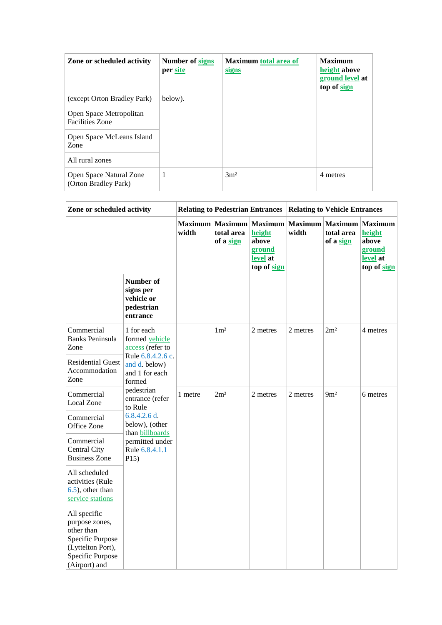| Zone or scheduled activity                        | <b>Number of signs</b><br>per site | <b>Maximum total area of</b><br><u>signs</u> | <b>Maximum</b><br>height above<br>ground level at<br>top of sign |
|---------------------------------------------------|------------------------------------|----------------------------------------------|------------------------------------------------------------------|
| (except Orton Bradley Park)                       | below).                            |                                              |                                                                  |
| Open Space Metropolitan<br><b>Facilities Zone</b> |                                    |                                              |                                                                  |
| Open Space McLeans Island<br>Zone                 |                                    |                                              |                                                                  |
| All rural zones                                   |                                    |                                              |                                                                  |
| Open Space Natural Zone<br>(Orton Bradley Park)   | $\overline{1}$                     | 3m <sup>2</sup>                              | 4 metres                                                         |

| Zone or scheduled activity                                                                                                 |                                                                                                                    | <b>Relating to Pedestrian Entrances</b> |                                           |                                                                        | <b>Relating to Vehicle Entrances</b> |                         |                                                                        |
|----------------------------------------------------------------------------------------------------------------------------|--------------------------------------------------------------------------------------------------------------------|-----------------------------------------|-------------------------------------------|------------------------------------------------------------------------|--------------------------------------|-------------------------|------------------------------------------------------------------------|
|                                                                                                                            |                                                                                                                    | <b>Maximum</b><br>width                 | <b>Maximum</b><br>total area<br>of a sign | <b>Maximum</b><br>height<br>above<br>ground<br>level at<br>top of sign | Maximum Maximum<br>width             | total area<br>of a sign | <b>Maximum</b><br>height<br>above<br>ground<br>level at<br>top of sign |
|                                                                                                                            | Number of<br>signs per<br>vehicle or<br>pedestrian<br>entrance                                                     |                                         |                                           |                                                                        |                                      |                         |                                                                        |
| Commercial<br><b>Banks Peninsula</b><br>Zone<br><b>Residential Guest</b><br>Accommodation<br>Zone                          | 1 for each<br>formed vehicle<br>access (refer to<br>Rule 6.8.4.2.6 c.<br>and d. below)<br>and 1 for each<br>formed |                                         | 1 <sup>m²</sup>                           | 2 metres                                                               | 2 metres                             | 2m <sup>2</sup>         | 4 metres                                                               |
| Commercial<br>Local Zone                                                                                                   | pedestrian<br>entrance (refer<br>to Rule<br>$6.8.4.2.6$ d.                                                         | 1 metre                                 | 2m <sup>2</sup>                           | 2 metres                                                               | 2 metres                             | 9m <sup>2</sup>         | 6 metres                                                               |
| Commercial<br>Office Zone                                                                                                  | below), (other<br>than billboards<br>permitted under<br>Rule 6.8.4.1.1<br>P15)                                     |                                         |                                           |                                                                        |                                      |                         |                                                                        |
| Commercial<br>Central City<br><b>Business Zone</b>                                                                         |                                                                                                                    |                                         |                                           |                                                                        |                                      |                         |                                                                        |
| All scheduled<br>activities (Rule<br>$(6.5)$ , other than<br>service stations                                              |                                                                                                                    |                                         |                                           |                                                                        |                                      |                         |                                                                        |
| All specific<br>purpose zones,<br>other than<br>Specific Purpose<br>(Lyttelton Port),<br>Specific Purpose<br>(Airport) and |                                                                                                                    |                                         |                                           |                                                                        |                                      |                         |                                                                        |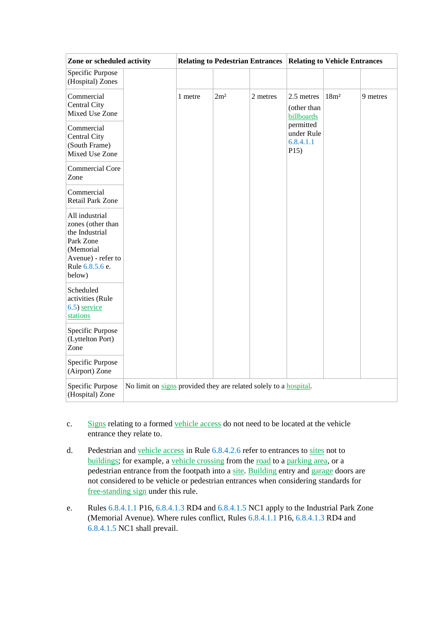| Zone or scheduled activity                                                                                                         |                                                                   | <b>Relating to Pedestrian Entrances</b><br><b>Relating to Vehicle Entrances</b> |                 |          |                                              |                  |          |
|------------------------------------------------------------------------------------------------------------------------------------|-------------------------------------------------------------------|---------------------------------------------------------------------------------|-----------------|----------|----------------------------------------------|------------------|----------|
| Specific Purpose<br>(Hospital) Zones                                                                                               |                                                                   |                                                                                 |                 |          |                                              |                  |          |
| Commercial<br>Central City<br>Mixed Use Zone                                                                                       |                                                                   | 1 metre                                                                         | 2m <sup>2</sup> | 2 metres | 2.5 metres<br>(other than<br>billboards      | 18m <sup>2</sup> | 9 metres |
| Commercial<br>Central City<br>(South Frame)<br>Mixed Use Zone                                                                      |                                                                   |                                                                                 |                 |          | permitted<br>under Rule<br>6.8.4.1.1<br>P15) |                  |          |
| Commercial Core<br>Zone                                                                                                            |                                                                   |                                                                                 |                 |          |                                              |                  |          |
| Commercial<br><b>Retail Park Zone</b>                                                                                              |                                                                   |                                                                                 |                 |          |                                              |                  |          |
| All industrial<br>zones (other than<br>the Industrial<br>Park Zone<br>(Memorial<br>Avenue) - refer to<br>Rule 6.8.5.6 e.<br>below) |                                                                   |                                                                                 |                 |          |                                              |                  |          |
| Scheduled<br>activities (Rule<br>6.5) service<br>stations                                                                          |                                                                   |                                                                                 |                 |          |                                              |                  |          |
| Specific Purpose<br>(Lyttelton Port)<br>Zone                                                                                       |                                                                   |                                                                                 |                 |          |                                              |                  |          |
| Specific Purpose<br>(Airport) Zone                                                                                                 |                                                                   |                                                                                 |                 |          |                                              |                  |          |
| Specific Purpose<br>(Hospital) Zone                                                                                                | No limit on signs provided they are related solely to a hospital. |                                                                                 |                 |          |                                              |                  |          |

- c. Signs relating to a formed vehicle access do not need to be located at the vehicle entrance they relate to.
- d. Pedestrian and vehicle access in Rule 6.8.4.2.6 refer to entrances to sites not to buildings; for example, a vehicle crossing from the road to a parking area, or a pedestrian entrance from the footpath into a site. Building entry and garage doors are not considered to be vehicle or pedestrian entrances when considering standards for free-standing sign under this rule.
- e. Rules 6.8.4.1.1 P16, 6.8.4.1.3 RD4 and 6.8.4.1.5 NC1 apply to the Industrial Park Zone (Memorial Avenue). Where rules conflict, Rules 6.8.4.1.1 P16, 6.8.4.1.3 RD4 and 6.8.4.1.5 NC1 shall prevail.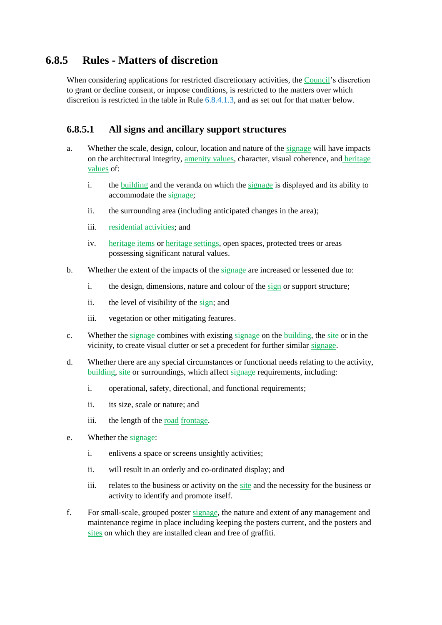# **6.8.5 Rules - Matters of discretion**

When considering applications for restricted discretionary activities, the Council's discretion to grant or decline consent, or impose conditions, is restricted to the matters over which discretion is restricted in the table in Rule 6.8.4.1.3, and as set out for that matter below.

## **6.8.5.1 All signs and ancillary support structures**

- a. Whether the scale, design, colour, location and nature of the signage will have impacts on the architectural integrity, amenity values, character, visual coherence, and heritage values of:
	- i. the building and the veranda on which the signage is displayed and its ability to accommodate the signage;
	- ii. the surrounding area (including anticipated changes in the area);
	- iii. residential activities; and
	- iv. heritage items or heritage settings, open spaces, protected trees or areas possessing significant natural values.
- b. Whether the extent of the impacts of the signage are increased or lessened due to:
	- i. the design, dimensions, nature and colour of the sign or support structure;
	- ii. the level of visibility of the sign; and
	- iii. vegetation or other mitigating features.
- c. Whether the signage combines with existing signage on the building, the site or in the vicinity, to create visual clutter or set a precedent for further similar signage.
- d. Whether there are any special circumstances or functional needs relating to the activity, building, site or surroundings, which affect signage requirements, including:
	- i. operational, safety, directional, and functional requirements;
	- ii. its size, scale or nature; and
	- iii. the length of the road frontage.
- e. Whether the signage:
	- i. enlivens a space or screens unsightly activities;
	- ii. will result in an orderly and co-ordinated display; and
	- iii. relates to the business or activity on the site and the necessity for the business or activity to identify and promote itself.
- f. For small-scale, grouped poster signage, the nature and extent of any management and maintenance regime in place including keeping the posters current, and the posters and sites on which they are installed clean and free of graffiti.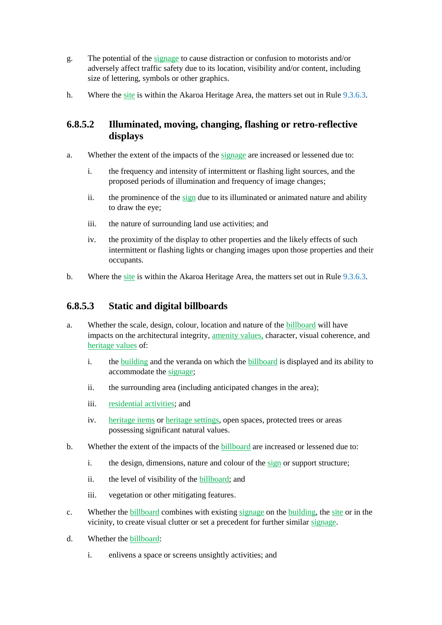- g. The potential of the signage to cause distraction or confusion to motorists and/or adversely affect traffic safety due to its location, visibility and/or content, including size of lettering, symbols or other graphics.
- h. Where the site is within the Akaroa Heritage Area, the matters set out in Rule 9.3.6.3.

# **6.8.5.2 Illuminated, moving, changing, flashing or retro-reflective displays**

- a. Whether the extent of the impacts of the signage are increased or lessened due to:
	- i. the frequency and intensity of intermittent or flashing light sources, and the proposed periods of illumination and frequency of image changes;
	- ii. the prominence of the sign due to its illuminated or animated nature and ability to draw the eye;
	- iii. the nature of surrounding land use activities; and
	- iv. the proximity of the display to other properties and the likely effects of such intermittent or flashing lights or changing images upon those properties and their occupants.
- b. Where the site is within the Akaroa Heritage Area, the matters set out in Rule 9.3.6.3.

# **6.8.5.3 Static and digital billboards**

- a. Whether the scale, design, colour, location and nature of the billboard will have impacts on the architectural integrity, amenity values, character, visual coherence, and heritage values of:
	- i. the building and the veranda on which the billboard is displayed and its ability to accommodate the signage;
	- ii. the surrounding area (including anticipated changes in the area);
	- iii. residential activities; and
	- iv. heritage items or heritage settings, open spaces, protected trees or areas possessing significant natural values.
- b. Whether the extent of the impacts of the billboard are increased or lessened due to:
	- i. the design, dimensions, nature and colour of the sign or support structure;
	- ii. the level of visibility of the billboard; and
	- iii. vegetation or other mitigating features.
- c. Whether the billboard combines with existing signage on the building, the site or in the vicinity, to create visual clutter or set a precedent for further similar signage.
- d. Whether the billboard:
	- i. enlivens a space or screens unsightly activities; and